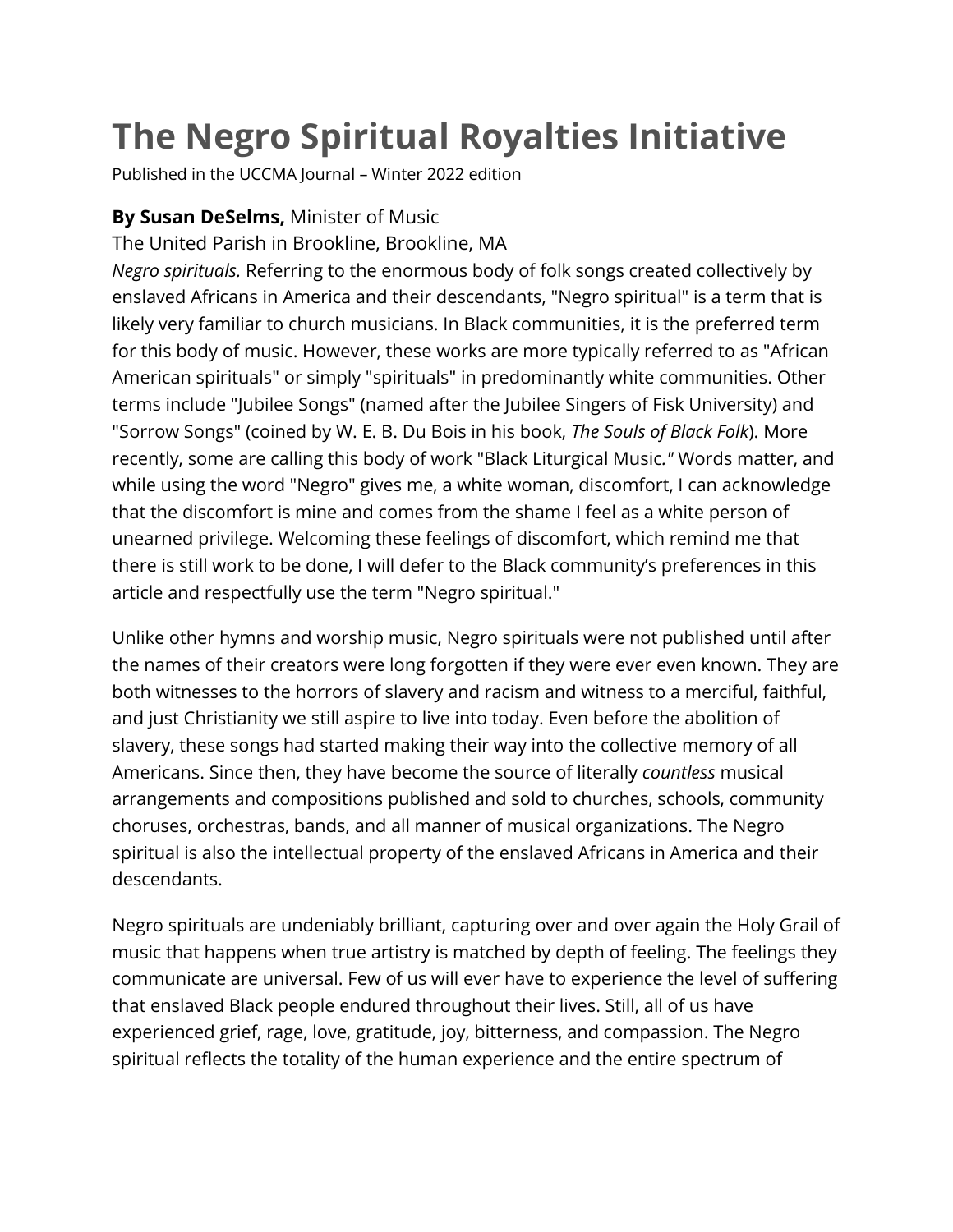## **The Negro Spiritual Royalties Initiative**

Published in the UCCMA Journal – Winter 2022 edition

## **By Susan DeSelms,** Minister of Music

The United Parish in Brookline, Brookline, MA

*Negro spirituals.* Referring to the enormous body of folk songs created collectively by enslaved Africans in America and their descendants, "Negro spiritual" is a term that is likely very familiar to church musicians. In Black communities, it is the preferred term for this body of music. However, these works are more typically referred to as "African American spirituals" or simply "spirituals" in predominantly white communities. Other terms include "Jubilee Songs" (named after the Jubilee Singers of Fisk University) and "Sorrow Songs" (coined by W. E. B. Du Bois in his book, *The Souls of Black Folk*). More recently, some are calling this body of work "Black Liturgical Music*."* Words matter, and while using the word "Negro" gives me, a white woman, discomfort, I can acknowledge that the discomfort is mine and comes from the shame I feel as a white person of unearned privilege. Welcoming these feelings of discomfort, which remind me that there is still work to be done, I will defer to the Black community's preferences in this article and respectfully use the term "Negro spiritual."

Unlike other hymns and worship music, Negro spirituals were not published until after the names of their creators were long forgotten if they were ever even known. They are both witnesses to the horrors of slavery and racism and witness to a merciful, faithful, and just Christianity we still aspire to live into today. Even before the abolition of slavery, these songs had started making their way into the collective memory of all Americans. Since then, they have become the source of literally *countless* musical arrangements and compositions published and sold to churches, schools, community choruses, orchestras, bands, and all manner of musical organizations. The Negro spiritual is also the intellectual property of the enslaved Africans in America and their descendants.

Negro spirituals are undeniably brilliant, capturing over and over again the Holy Grail of music that happens when true artistry is matched by depth of feeling. The feelings they communicate are universal. Few of us will ever have to experience the level of suffering that enslaved Black people endured throughout their lives. Still, all of us have experienced grief, rage, love, gratitude, joy, bitterness, and compassion. The Negro spiritual reflects the totality of the human experience and the entire spectrum of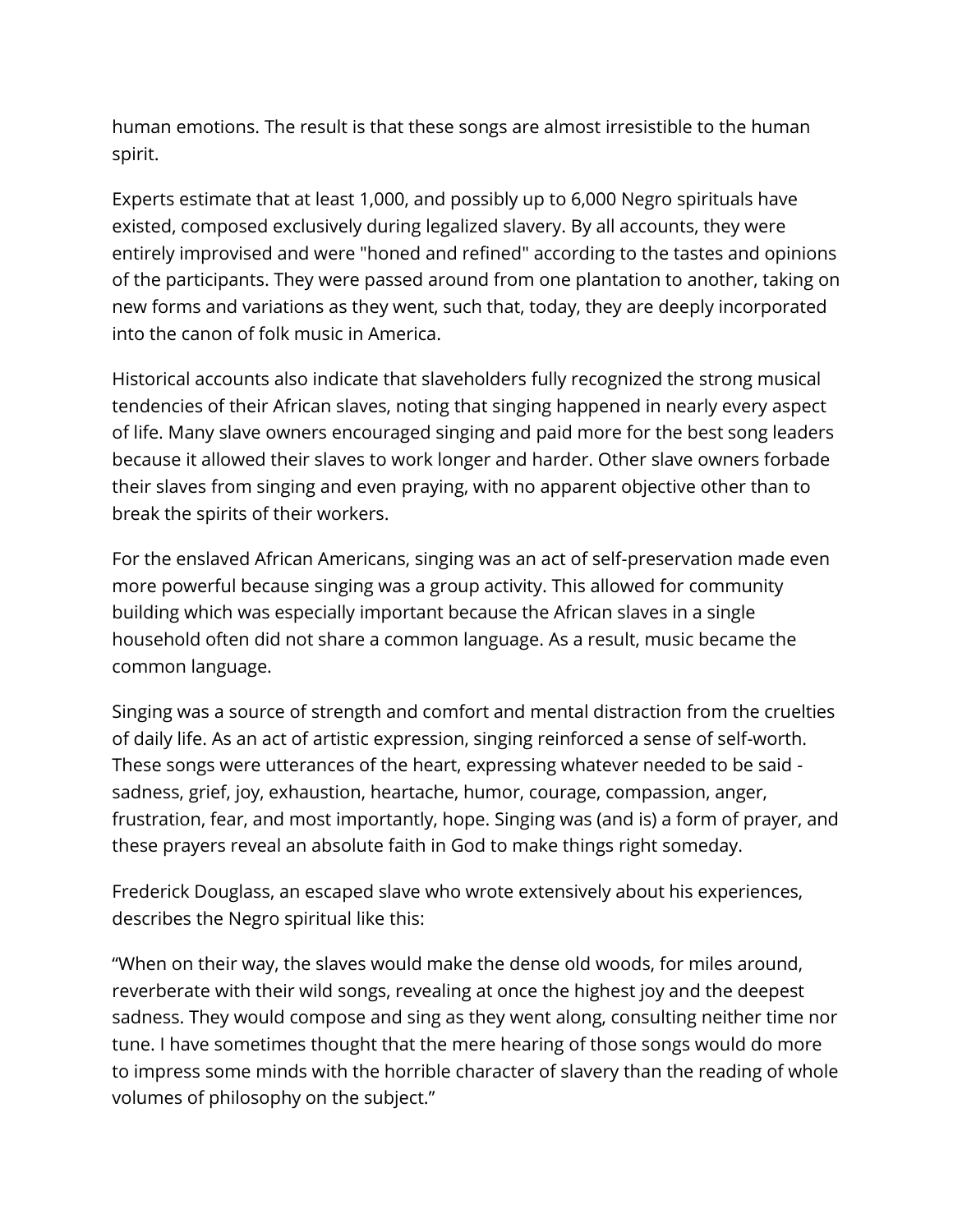human emotions. The result is that these songs are almost irresistible to the human spirit.

Experts estimate that at least 1,000, and possibly up to 6,000 Negro spirituals have existed, composed exclusively during legalized slavery. By all accounts, they were entirely improvised and were "honed and refined" according to the tastes and opinions of the participants. They were passed around from one plantation to another, taking on new forms and variations as they went, such that, today, they are deeply incorporated into the canon of folk music in America.

Historical accounts also indicate that slaveholders fully recognized the strong musical tendencies of their African slaves, noting that singing happened in nearly every aspect of life. Many slave owners encouraged singing and paid more for the best song leaders because it allowed their slaves to work longer and harder. Other slave owners forbade their slaves from singing and even praying, with no apparent objective other than to break the spirits of their workers.

For the enslaved African Americans, singing was an act of self-preservation made even more powerful because singing was a group activity. This allowed for community building which was especially important because the African slaves in a single household often did not share a common language. As a result, music became the common language.

Singing was a source of strength and comfort and mental distraction from the cruelties of daily life. As an act of artistic expression, singing reinforced a sense of self-worth. These songs were utterances of the heart, expressing whatever needed to be said sadness, grief, joy, exhaustion, heartache, humor, courage, compassion, anger, frustration, fear, and most importantly, hope. Singing was (and is) a form of prayer, and these prayers reveal an absolute faith in God to make things right someday.

Frederick Douglass, an escaped slave who wrote extensively about his experiences, describes the Negro spiritual like this:

"When on their way, the slaves would make the dense old woods, for miles around, reverberate with their wild songs, revealing at once the highest joy and the deepest sadness. They would compose and sing as they went along, consulting neither time nor tune. I have sometimes thought that the mere hearing of those songs would do more to impress some minds with the horrible character of slavery than the reading of whole volumes of philosophy on the subject."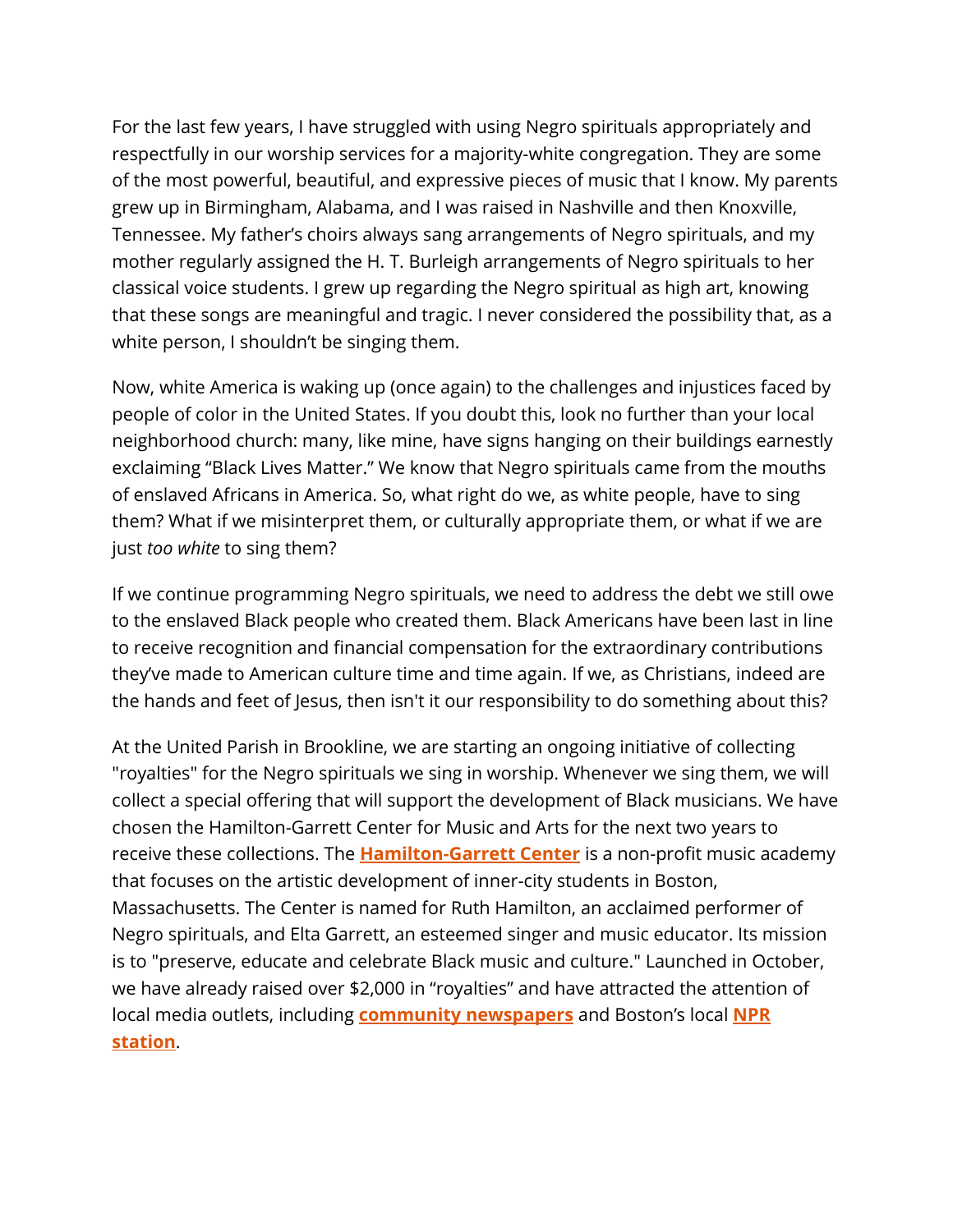For the last few years, I have struggled with using Negro spirituals appropriately and respectfully in our worship services for a majority-white congregation. They are some of the most powerful, beautiful, and expressive pieces of music that I know. My parents grew up in Birmingham, Alabama, and I was raised in Nashville and then Knoxville, Tennessee. My father's choirs always sang arrangements of Negro spirituals, and my mother regularly assigned the H. T. Burleigh arrangements of Negro spirituals to her classical voice students. I grew up regarding the Negro spiritual as high art, knowing that these songs are meaningful and tragic. I never considered the possibility that, as a white person, I shouldn't be singing them.

Now, white America is waking up (once again) to the challenges and injustices faced by people of color in the United States. If you doubt this, look no further than your local neighborhood church: many, like mine, have signs hanging on their buildings earnestly exclaiming "Black Lives Matter." We know that Negro spirituals came from the mouths of enslaved Africans in America. So, what right do we, as white people, have to sing them? What if we misinterpret them, or culturally appropriate them, or what if we are just *too white* to sing them?

If we continue programming Negro spirituals, we need to address the debt we still owe to the enslaved Black people who created them. Black Americans have been last in line to receive recognition and financial compensation for the extraordinary contributions they've made to American culture time and time again. If we, as Christians, indeed are the hands and feet of Jesus, then isn't it our responsibility to do something about this?

At the United Parish in Brookline, we are starting an ongoing initiative of collecting "royalties" for the Negro spirituals we sing in worship. Whenever we sing them, we will collect a special offering that will support the development of Black musicians. We have chosen the Hamilton-Garrett Center for Music and Arts for the next two years to receive these collections. The **[Hamilton-Garrett Center](http://hamiltongarrett.org/)** is a non-profit music academy that focuses on the artistic development of inner-city students in Boston, Massachusetts. The Center is named for Ruth Hamilton, an acclaimed performer of Negro spirituals, and Elta Garrett, an esteemed singer and music educator. Its mission is to "preserve, educate and celebrate Black music and culture." Launched in October, we have already raised over \$2,000 in "royalties" and have attracted the attention of local media outlets, including **[community newspapers](https://www.wickedlocal.com/story/brookline-tab/2021/11/02/brookline-united-parish-sings-negro-spirituals-benefits-black-artists/6139306001/)** and Boston's local **[NPR](https://www.wgbh.org/news/arts/2021/11/16/this-church-is-paying-royalties-when-it-sings-spirituals-composed-by-enslaved-africans)  [station](https://www.wgbh.org/news/arts/2021/11/16/this-church-is-paying-royalties-when-it-sings-spirituals-composed-by-enslaved-africans)**.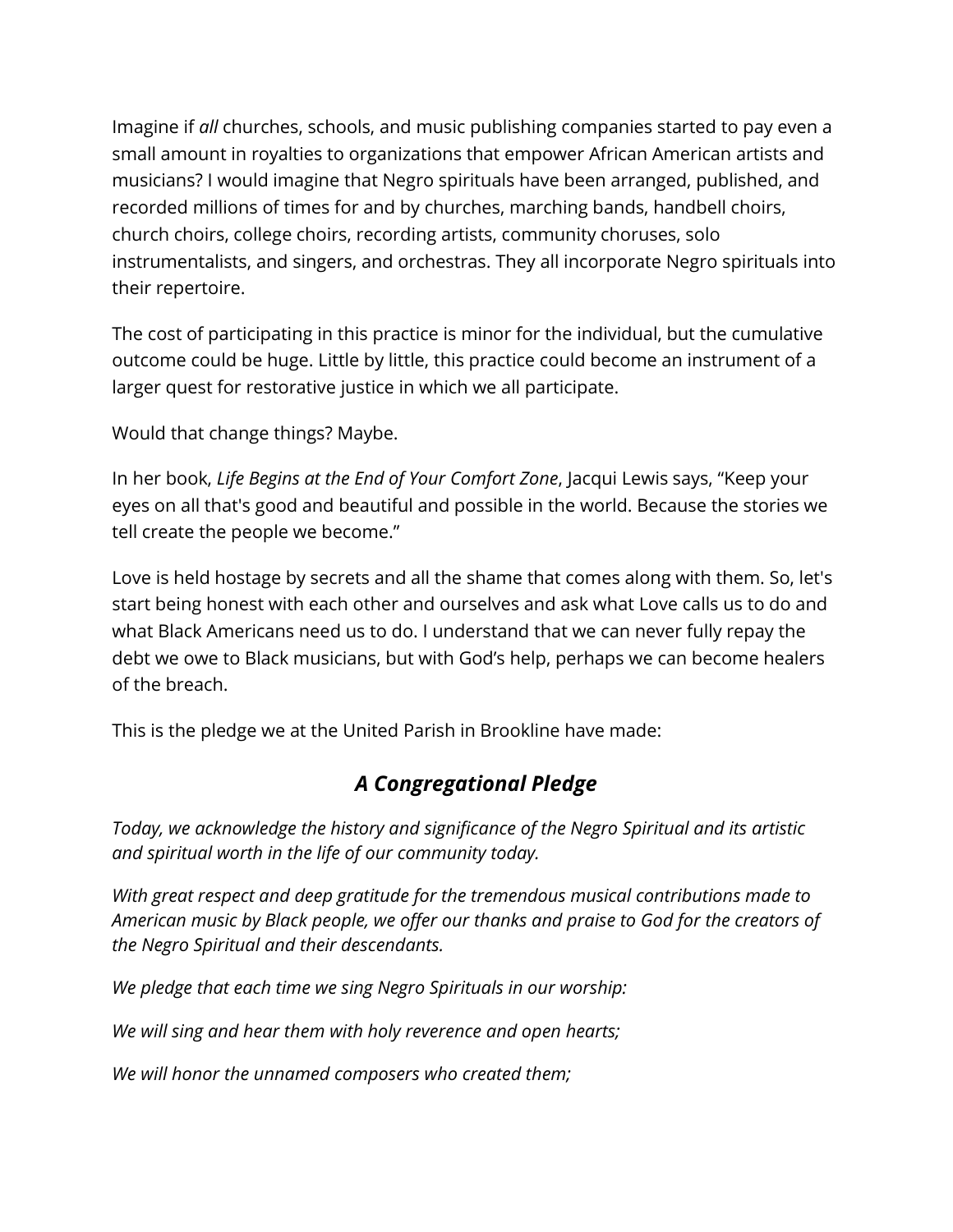Imagine if *all* churches, schools, and music publishing companies started to pay even a small amount in royalties to organizations that empower African American artists and musicians? I would imagine that Negro spirituals have been arranged, published, and recorded millions of times for and by churches, marching bands, handbell choirs, church choirs, college choirs, recording artists, community choruses, solo instrumentalists, and singers, and orchestras. They all incorporate Negro spirituals into their repertoire.

The cost of participating in this practice is minor for the individual, but the cumulative outcome could be huge. Little by little, this practice could become an instrument of a larger quest for restorative justice in which we all participate.

Would that change things? Maybe.

In her book, *Life Begins at the End of Your Comfort Zone*, Jacqui Lewis says, "Keep your eyes on all that's good and beautiful and possible in the world. Because the stories we tell create the people we become."

Love is held hostage by secrets and all the shame that comes along with them. So, let's start being honest with each other and ourselves and ask what Love calls us to do and what Black Americans need us to do. I understand that we can never fully repay the debt we owe to Black musicians, but with God's help, perhaps we can become healers of the breach.

This is the pledge we at the United Parish in Brookline have made:

## *A Congregational Pledge*

*Today, we acknowledge the history and significance of the Negro Spiritual and its artistic and spiritual worth in the life of our community today.*

*With great respect and deep gratitude for the tremendous musical contributions made to American music by Black people, we offer our thanks and praise to God for the creators of the Negro Spiritual and their descendants.*

*We pledge that each time we sing Negro Spirituals in our worship:*

*We will sing and hear them with holy reverence and open hearts;*

*We will honor the unnamed composers who created them;*